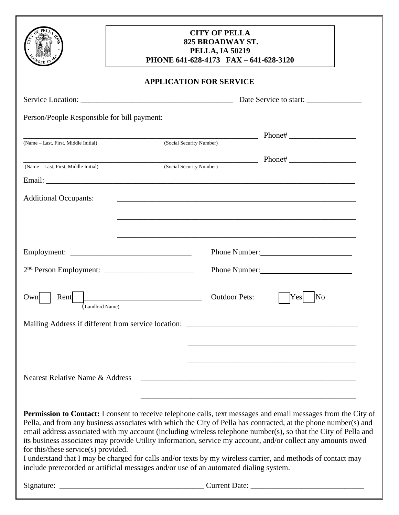|                                             | <b>CITY OF PELLA</b><br><b>825 BROADWAY ST.</b><br><b>PELLA, IA 50219</b><br>PHONE 641-628-4173 FAX - 641-628-3120                                                                                                                                                                                                                                                                                                                                                   |
|---------------------------------------------|----------------------------------------------------------------------------------------------------------------------------------------------------------------------------------------------------------------------------------------------------------------------------------------------------------------------------------------------------------------------------------------------------------------------------------------------------------------------|
|                                             | <b>APPLICATION FOR SERVICE</b>                                                                                                                                                                                                                                                                                                                                                                                                                                       |
|                                             |                                                                                                                                                                                                                                                                                                                                                                                                                                                                      |
| Person/People Responsible for bill payment: |                                                                                                                                                                                                                                                                                                                                                                                                                                                                      |
|                                             | (Social Security Number)                                                                                                                                                                                                                                                                                                                                                                                                                                             |
| (Name - Last, First, Middle Initial)        |                                                                                                                                                                                                                                                                                                                                                                                                                                                                      |
| (Name – Last, First, Middle Initial)        | (Social Security Number)                                                                                                                                                                                                                                                                                                                                                                                                                                             |
|                                             |                                                                                                                                                                                                                                                                                                                                                                                                                                                                      |
| <b>Additional Occupants:</b>                |                                                                                                                                                                                                                                                                                                                                                                                                                                                                      |
|                                             | Phone Number:                                                                                                                                                                                                                                                                                                                                                                                                                                                        |
|                                             | Phone Number:                                                                                                                                                                                                                                                                                                                                                                                                                                                        |
| Rent<br>Own)<br>(Landlord Name)             | <b>Outdoor Pets:</b><br>No                                                                                                                                                                                                                                                                                                                                                                                                                                           |
|                                             |                                                                                                                                                                                                                                                                                                                                                                                                                                                                      |
|                                             |                                                                                                                                                                                                                                                                                                                                                                                                                                                                      |
|                                             |                                                                                                                                                                                                                                                                                                                                                                                                                                                                      |
| Nearest Relative Name & Address             |                                                                                                                                                                                                                                                                                                                                                                                                                                                                      |
|                                             |                                                                                                                                                                                                                                                                                                                                                                                                                                                                      |
| for this/these service(s) provided.         | Permission to Contact: I consent to receive telephone calls, text messages and email messages from the City of<br>Pella, and from any business associates with which the City of Pella has contracted, at the phone number(s) and<br>email address associated with my account (including wireless telephone number(s), so that the City of Pella and<br>its business associates may provide Utility information, service my account, and/or collect any amounts owed |

I understand that I may be charged for calls and/or texts by my wireless carrier, and methods of contact may include prerecorded or artificial messages and/or use of an automated dialing system.

| Signature: |  |
|------------|--|
|            |  |

 $\angle$  Current Date:  $\angle$